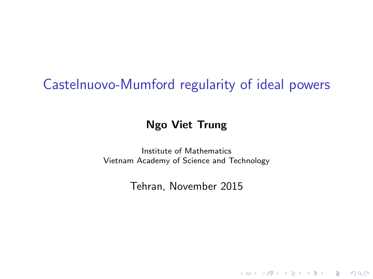# Castelnuovo-Mumford regularity of ideal powers

#### Ngo Viet Trung

Institute of Mathematics Vietnam Academy of Science and Technology

Tehran, November 2015

**KORK STRATER STRAKER**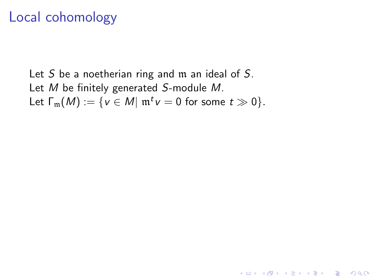# Local cohomology

Let S be a noetherian ring and  $m$  an ideal of S. Let M be finitely generated S-module M. Let  $\Gamma_{\mathfrak{m}}(M):=\{v\in M|\mathfrak{m}^t v=0\text{ for some }t\gg 0\}.$ 

K ロ ▶ K @ ▶ K 할 > K 할 > 1 할 > 1 이익어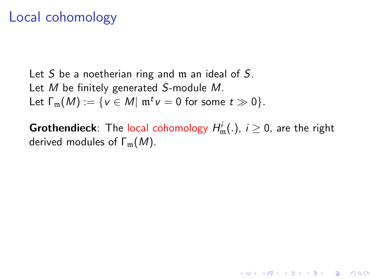# Local cohomology

Let S be a noetherian ring and  $m$  an ideal of S. Let M be finitely generated S-module M. Let  $\Gamma_{\mathfrak{m}}(M):=\{v\in M|\mathfrak{m}^t v=0\text{ for some }t\gg 0\}.$ 

**Grothendieck**: The local cohomology  $H^i_\mathfrak{m} (.)$ ,  $i \geq 0$ , are the right derived modules of  $\Gamma_m(M)$ .

**KORKAR KERKER EL VOLO**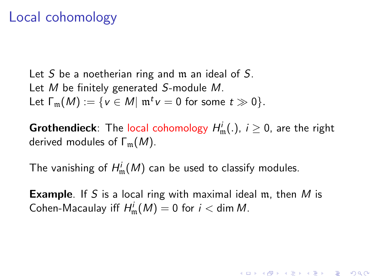# Local cohomology

Let S be a noetherian ring and  $m$  an ideal of S. Let M be finitely generated S-module M. Let  $\Gamma_{\mathfrak{m}}(M):=\{v\in M|\mathfrak{m}^t v=0\text{ for some }t\gg 0\}.$ 

**Grothendieck**: The local cohomology  $H^i_\mathfrak{m} (.)$ ,  $i \geq 0$ , are the right derived modules of  $\Gamma_m(M)$ .

The vanishing of  $H^i_\mathfrak{m}(M)$  can be used to classify modules.

**Example**. If S is a local ring with maximal ideal m, then M is Cohen-Macaulay iff  $H^i_\mathfrak{m}(M)=0$  for  $i <$  dim M.

KID KA KERKER E VOOR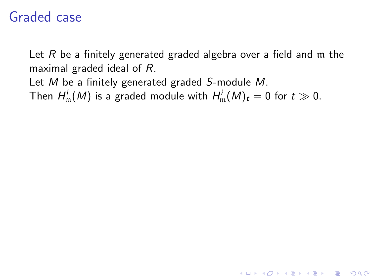# Graded case

Let  $R$  be a finitely generated graded algebra over a field and  $m$  the maximal graded ideal of R.

**K ロ ▶ K @ ▶ K 할 X X 할 X 및 할 X X Q Q O** 

Let M be a finitely generated graded S-module M.

Then  $H^i_\mathfrak{m}(M)$  is a graded module with  $H^i_\mathfrak{m}(M)_t = 0$  for  $t \gg 0$ .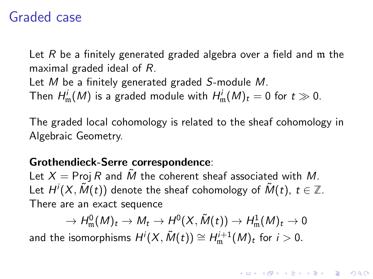# Graded case

Let  $R$  be a finitely generated graded algebra over a field and  $m$  the maximal graded ideal of R.

Let M be a finitely generated graded S-module M.

Then  $H^i_\mathfrak{m}(M)$  is a graded module with  $H^i_\mathfrak{m}(M)_t = 0$  for  $t \gg 0$ .

The graded local cohomology is related to the sheaf cohomology in Algebraic Geometry.

#### Grothendieck-Serre correspondence:

Let  $X = \text{Proj } R$  and  $\tilde{M}$  the coherent sheaf associated with M. Let  $H^i(X, \tilde{M}(t))$  denote the sheaf cohomology of  $\tilde{M}(t), \ t \in \mathbb{Z}.$ There are an exact sequence

 $\bar{\theta} \to H_{\mathfrak m}^0(M)_t \to M_t \to H^0(X,\tilde M(t)) \to H_{\mathfrak m}^1(M)_t \to 0$ 

**KORKAR KERKER EL VOLO** 

and the isomorphisms  $H^i(X, \tilde{M}(t)) \cong H^{i+1}_{\mathfrak{m}}(M)_t$  for  $i > 0.$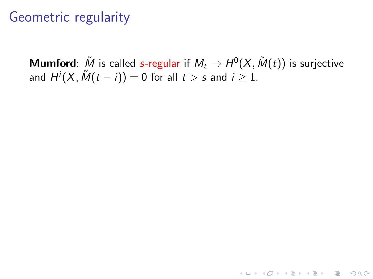**Mumford**:  $\tilde{M}$  is called s-regular if  $M_t \rightarrow H^0(X, \tilde{M}(t))$  is surjective and  $H^i(X, \tilde{M}(t-i)) = 0$  for all  $t > s$  and  $i \geq 1.$ 

**KORK ERKER ADE YOUR**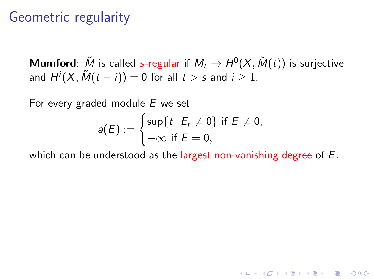**Mumford**:  $\tilde{M}$  is called s-regular if  $M_t \rightarrow H^0(X, \tilde{M}(t))$  is surjective and  $H^i(X, \tilde{M}(t-i)) = 0$  for all  $t > s$  and  $i \geq 1.$ 

For every graded module E we set

$$
a(E) := \begin{cases} \sup\{t \mid E_t \neq 0\} & \text{if } E \neq 0, \\ -\infty & \text{if } E = 0, \end{cases}
$$

which can be understood as the largest non-vanishing degree of E.

**KORK ERKER ADE YOUR**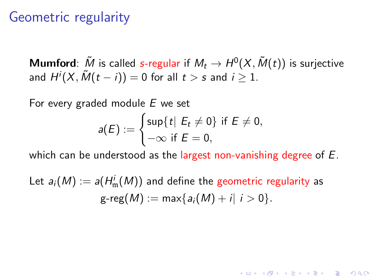**Mumford**:  $\tilde{M}$  is called s-regular if  $M_t \rightarrow H^0(X, \tilde{M}(t))$  is surjective and  $H^i(X, \tilde{M}(t-i)) = 0$  for all  $t > s$  and  $i \geq 1.$ 

For every graded module  $E$  we set

$$
a(E) := \begin{cases} \sup\{t \mid E_t \neq 0\} & \text{if } E \neq 0, \\ -\infty & \text{if } E = 0, \end{cases}
$$

which can be understood as the largest non-vanishing degree of E.

**KORKAR KERKER EL VOLO** 

Let  $a_i(M):=a(H^i_\mathfrak{m}(M))$  and define the geometric regularity as  $g-reg(M) := max{a_i(M) + i | i > 0}.$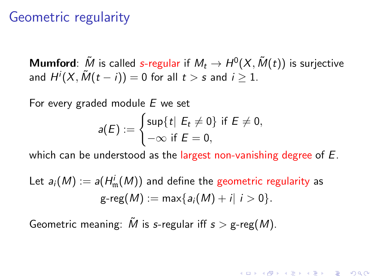**Mumford**:  $\tilde{M}$  is called s-regular if  $M_t \rightarrow H^0(X, \tilde{M}(t))$  is surjective and  $H^i(X, \tilde{M}(t-i)) = 0$  for all  $t > s$  and  $i \geq 1.$ 

For every graded module  $E$  we set

$$
a(E) := \begin{cases} \sup\{t \mid E_t \neq 0\} & \text{if } E \neq 0, \\ -\infty & \text{if } E = 0, \end{cases}
$$

which can be understood as the largest non-vanishing degree of E.

**KORKAR KERKER EL VOLO** 

Let 
$$
a_i(M) := a(H_m^i(M))
$$
 and define the geometric regularity as  
  $g\text{-reg}(M) := \max\{a_i(M) + i | i > 0\}.$ 

Geometric meaning:  $\tilde{M}$  is s-regular iff  $s > g$ -reg(M).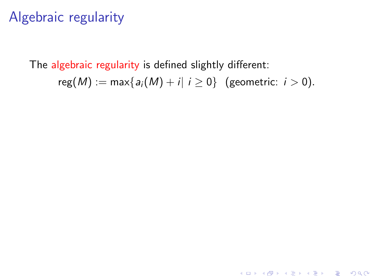# Algebraic regularity

The algebraic regularity is defined slightly different:  $reg(M) := max\{a_i(M) + i | i \ge 0\}$  (geometric:  $i > 0$ ).

K ロ ▶ K @ ▶ K 할 > K 할 > 1 할 > 1 이익어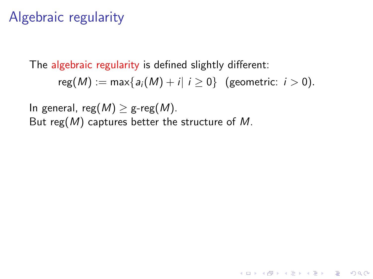# Algebraic regularity

The algebraic regularity is defined slightly different:

 $reg(M) := max\{a_i(M) + i | i \geq 0\}$  (geometric:  $i > 0$ ).

**KORK ERKER ADE YOUR** 

In general, reg( $M$ )  $\geq$  g-reg( $M$ ). But reg( $M$ ) captures better the structure of  $M$ .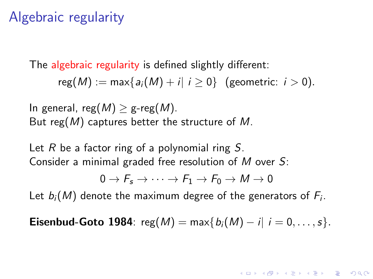# Algebraic regularity

The algebraic regularity is defined slightly different:

 $reg(M) := \max\{a_i(M) + i | i \ge 0\}$  (geometric:  $i > 0$ ).

In general, reg $(M) > g$ -reg $(M)$ . But reg(M) captures better the structure of M.

Let R be a factor ring of a polynomial ring  $S$ . Consider a minimal graded free resolution of M over S:

$$
0\to F_s\to\cdots\to F_1\to F_0\to M\to 0
$$

Let  $b_i(M)$  denote the maximum degree of the generators of  $F_i.$ 

**Eisenbud-Goto 1984**:  $reg(M) = max{b_i(M) - i | i = 0, ..., s}.$ 

**KORKAR KERKER EL VOLO**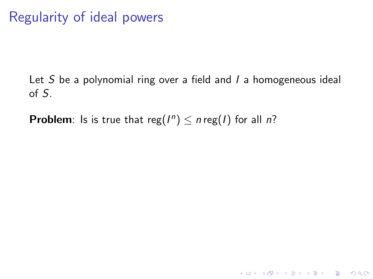Regularity of ideal powers

Let  $S$  be a polynomial ring over a field and  $I$  a homogeneous ideal of S.

K □ ▶ K @ ▶ K 할 X K 할 X T 할 X 1 9 Q Q \*

**Problem**: Is is true that reg( $I^n$ )  $\leq n$  reg( $I$ ) for all  $n$ ?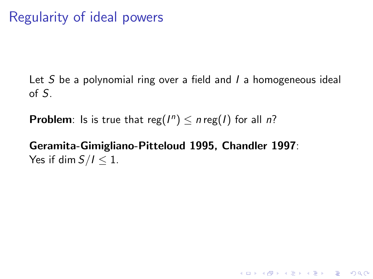# Regularity of ideal powers

Let S be a polynomial ring over a field and  $I$  a homogeneous ideal of S.

**K ロ ▶ K @ ▶ K 할 X X 할 X 및 할 X X Q Q O** 

**Problem**: Is is true that reg( $I^n$ )  $\leq n$  reg( $I$ ) for all  $n$ ?

#### Geramita-Gimigliano-Pitteloud 1995, Chandler 1997: Yes if dim  $S/I \leq 1$ .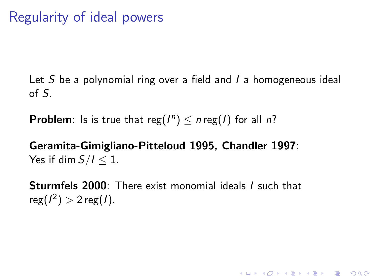Let S be a polynomial ring over a field and  $I$  a homogeneous ideal of S.

**Problem**: Is is true that reg( $I^n$ )  $\leq n$  reg( $I$ ) for all  $n$ ?

#### Geramita-Gimigliano-Pitteloud 1995, Chandler 1997: Yes if dim  $S/I < 1$ .

Sturmfels 2000: There exist monomial ideals I such that  $reg(I^2) > 2 reg(I).$ 

**K ロ ▶ K @ ▶ K 할 X X 할 X 및 할 X X Q Q O**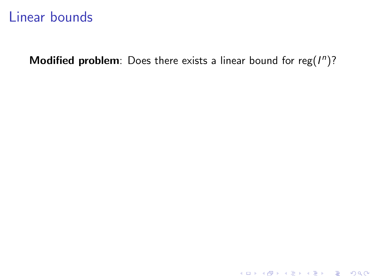# Linear bounds

Modified problem: Does there exists a linear bound for reg( $I<sup>n</sup>$ )?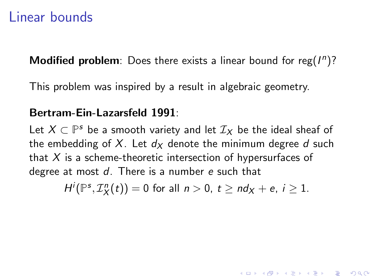### Linear bounds

Modified problem: Does there exists a linear bound for reg( $I<sup>n</sup>$ )?

This problem was inspired by a result in algebraic geometry.

#### Bertram-Ein-Lazarsfeld 1991:

Let  $X \subset \mathbb{P}^s$  be a smooth variety and let  $\mathcal{I}_X$  be the ideal sheaf of the embedding of X. Let  $d_x$  denote the minimum degree d such that  $X$  is a scheme-theoretic intersection of hypersurfaces of degree at most  $d$ . There is a number  $e$  such that

$$
H^i(\mathbb{P}^s,\mathcal{I}_X^n(t))=0 \text{ for all } n>0, t\geq nd_X+e, i\geq 1.
$$

4 D > 4 P + 4 B + 4 B + B + 9 Q O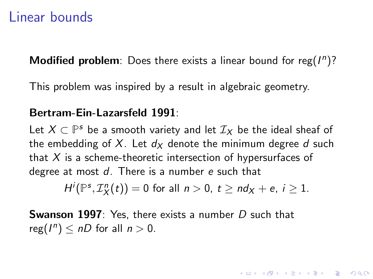#### Linear bounds

Modified problem: Does there exists a linear bound for reg( $I<sup>n</sup>$ )?

This problem was inspired by a result in algebraic geometry.

#### Bertram-Ein-Lazarsfeld 1991:

Let  $X \subset \mathbb{P}^s$  be a smooth variety and let  $\mathcal{I}_X$  be the ideal sheaf of the embedding of X. Let  $d_x$  denote the minimum degree d such that  $X$  is a scheme-theoretic intersection of hypersurfaces of degree at most  $d$ . There is a number e such that

 $H^i(\mathbb{P}^s,\mathcal{I}_X^n(t))=0$  for all  $n>0, t\ge nd_X+e, i\ge 1$ .

**AD A 4 4 4 5 A 5 A 5 A 4 D A 4 D A 4 P A 4 5 A 4 5 A 5 A 4 A 4 A 4 A** 

**Swanson 1997**: Yes, there exists a number D such that  $reg(I^n) \leq nD$  for all  $n > 0$ .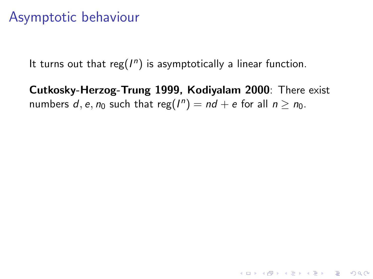# Asymptotic behaviour

It turns out that reg $(I^n)$  is asymptotically a linear function.

Cutkosky-Herzog-Trung 1999, Kodiyalam 2000: There exist numbers  $d, e, n_0$  such that reg $(I^n) = nd + e$  for all  $n \geq n_0$ .

**K ロ ▶ K @ ▶ K 할 X X 할 X 및 할 X X Q Q O**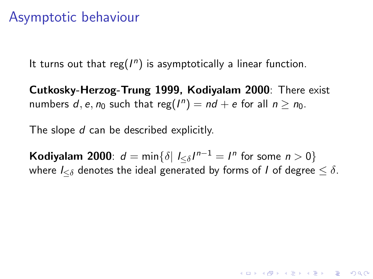# Asymptotic behaviour

It turns out that reg( $I<sup>n</sup>$ ) is asymptotically a linear function.

Cutkosky-Herzog-Trung 1999, Kodiyalam 2000: There exist numbers  $d, e, n_0$  such that reg $(I^n) = nd + e$  for all  $n \geq n_0$ .

The slope d can be described explicitly.

Kodiyalam 2000:  $d = \min\{\delta | l_{\leq \delta} / l^{n-1} = l^n \text{ for some } n > 0\}$ where  $I_{\leq \delta}$  denotes the ideal generated by forms of *I* of degree  $\leq \delta$ .

**KORKAR KERKER EL VOLO**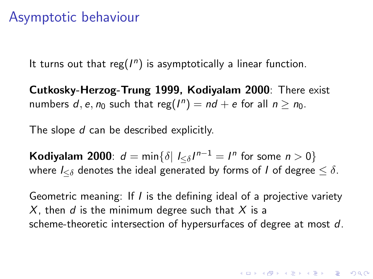### Asymptotic behaviour

It turns out that reg( $I<sup>n</sup>$ ) is asymptotically a linear function.

Cutkosky-Herzog-Trung 1999, Kodiyalam 2000: There exist numbers  $d, e, n_0$  such that reg $(I^n) = nd + e$  for all  $n \geq n_0$ .

The slope d can be described explicitly.

Kodiyalam 2000:  $d = \min\{\delta | l_{\leq \delta} / l^{n-1} = l^n \text{ for some } n > 0\}$ where  $I_{\leq \delta}$  denotes the ideal generated by forms of *I* of degree  $\leq \delta$ .

Geometric meaning: If I is the defining ideal of a projective variety X, then d is the minimum degree such that X is a scheme-theoretic intersection of hypersurfaces of degree at most d.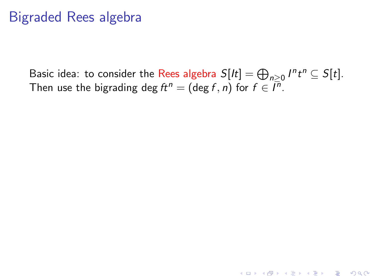# Bigraded Rees algebra

Basic idea: to consider the Rees algebra  $S[lt] = \bigoplus_{n \geq 0} I^n t^n \subseteq S[t]$ . Then use the bigrading deg  $ft^n=(\deg f,n)$  for  $f\in \bar{I^n}.$ 

K ロ ▶ K @ ▶ K 할 > K 할 > 1 할 > 1 이익어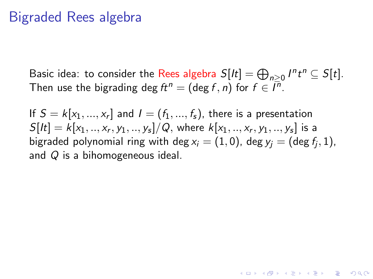#### Bigraded Rees algebra

Basic idea: to consider the Rees algebra  $S[lt] = \bigoplus_{n \geq 0} I^n t^n \subseteq S[t]$ . Then use the bigrading deg  $ft^n=(\deg f,n)$  for  $f\in \bar{I^n}.$ 

If  $S = k[x_1, ..., x_r]$  and  $I = (f_1, ..., f_s)$ , there is a presentation  $S[It] = k[x_1, ..., x_r, y_1, ..., y_s]/Q$ , where  $k[x_1, ..., x_r, y_1, ..., y_s]$  is a bigraded polynomial ring with deg ${\sf x}_i=(1,0)$ , deg ${\sf y}_j=(\deg f_j,1)$ , and Q is a bihomogeneous ideal.

4 0 > 4 4 + 4 3 + 4 3 + 5 + 9 4 0 +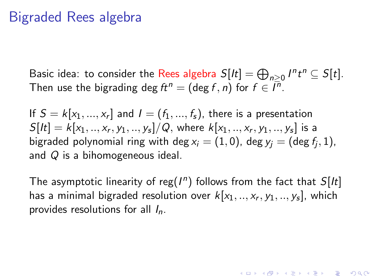### Bigraded Rees algebra

Basic idea: to consider the Rees algebra  $S[lt] = \bigoplus_{n \geq 0} I^n t^n \subseteq S[t]$ . Then use the bigrading deg  $ft^n=(\deg f,n)$  for  $f\in \bar{I^n}.$ 

If  $S = k[x_1, ..., x_r]$  and  $I = (f_1, ..., f_s)$ , there is a presentation  $S[It] = k[x_1, ..., x_r, y_1, ..., y_s]/Q$ , where  $k[x_1, ..., x_r, y_1, ..., y_s]$  is a bigraded polynomial ring with deg ${\sf x}_i=(1,0)$ , deg ${\sf y}_j=(\deg f_j,1)$ , and Q is a bihomogeneous ideal.

The asymptotic linearity of reg( $I<sup>n</sup>$ ) follows from the fact that  $S[It]$ has a minimal bigraded resolution over  $k[x_1,..,x_r,y_1,..,y_s]$ , which provides resolutions for all  $I_n$ .

**KORKAR KERKER EL VOLO**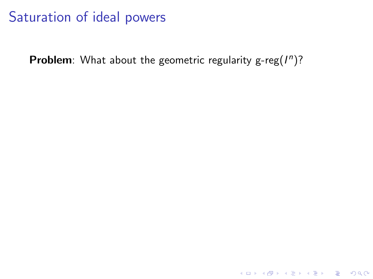Problem: What about the geometric regularity g-reg $(I^n)$ ?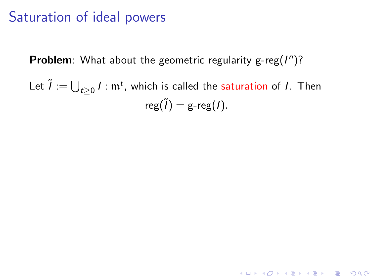Problem: What about the geometric regularity g-reg $(I^n)$ ?

Let  $\widetilde{I} := \bigcup_{t \geq 0} I$  :  $\mathfrak{m}^t$ , which is called the saturation of  $I$ . Then  $reg(\tilde{l}) = g-reg(l).$ 

KID KA KERKER E VONG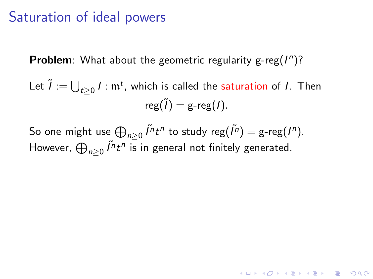Problem: What about the geometric regularity g-reg $(I^n)$ ?

Let  $\widetilde{I} := \bigcup_{t \geq 0} I$  :  $\mathfrak{m}^t$ , which is called the saturation of  $I$ . Then  $reg(\tilde{l}) = g-reg(l).$ 

So one might use  $\bigoplus_{n\geq 0} \tilde{I}^n t^n$  to study reg $(\tilde{I}^n) =$  g-reg $(I^n)$ . However,  $\bigoplus_{n\geq 0}\tilde{I^nt^n}$  is in general not finitely generated.

**KORKAR KERKER EL VOLO**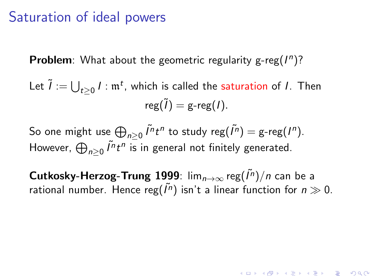Problem: What about the geometric regularity g-reg $(I^n)$ ?

Let  $\widetilde{I} := \bigcup_{t \geq 0} I$  :  $\mathfrak{m}^t$ , which is called the saturation of  $I$ . Then  $reg(\tilde{l}) = g-reg(l).$ 

So one might use  $\bigoplus_{n\geq 0} \tilde{I}^n t^n$  to study reg $(\tilde{I}^n) =$  g-reg $(I^n)$ . However,  $\bigoplus_{n\geq 0}\tilde{I^nt^n}$  is in general not finitely generated.

 $\mathsf{Cut}$ kosky-Herzog-Trung 1999: lim $_{n\to\infty}$ reg $(\tilde{I^n})/n$  can be a rational number. Hence reg $(\tilde{l}^n)$  isn't a linear function for  $n\gg 0$ .

**AD A 4 4 4 5 A 5 A 5 A 4 D A 4 D A 4 P A 4 5 A 4 5 A 5 A 4 A 4 A 4 A**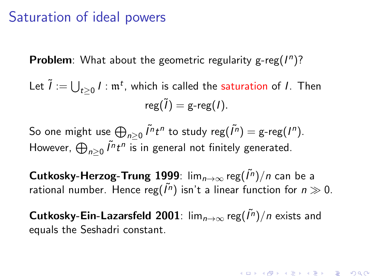Problem: What about the geometric regularity g-reg $(I^n)$ ?

Let  $\widetilde{I} := \bigcup_{t \geq 0} I$  :  $\mathfrak{m}^t$ , which is called the saturation of  $I$ . Then  $reg(\tilde{l}) = g-reg(l).$ 

So one might use  $\bigoplus_{n\geq 0} \tilde{I}^n t^n$  to study reg $(\tilde{I}^n) =$  g-reg $(I^n)$ . However,  $\bigoplus_{n\geq 0}\tilde{I^nt^n}$  is in general not finitely generated.

 $\mathsf{Cut}$ kosky-Herzog-Trung 1999: lim $_{n\to\infty}$ reg $(\tilde{I^n})/n$  can be a rational number. Hence reg $(\tilde{l}^n)$  isn't a linear function for  $n\gg 0$ .

**Cutkosky-Ein-Lazarsfeld 2001**:  $\lim_{n\to\infty}$  reg( $\tilde{I}^n$ )/n exists and equals the Seshadri constant.

**KORK (FRAGE) EL POLO**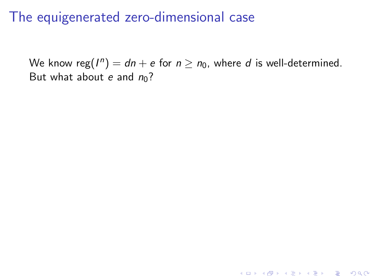We know reg $(I^n)=dn+e$  for  $n\ge n_0$ , where  $d$  is well-determined. But what about e and  $n_0$ ?

**K ロ ▶ K @ ▶ K 할 X X 할 X 및 할 X X Q Q O**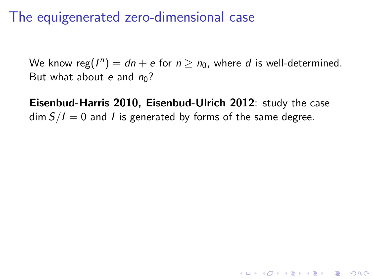We know reg $(I^n)=dn+e$  for  $n\ge n_0$ , where  $d$  is well-determined. But what about e and  $n_0$ ?

Eisenbud-Harris 2010, Eisenbud-Ulrich 2012: study the case  $\dim S/I = 0$  and *I* is generated by forms of the same degree.

**K ロ ▶ K @ ▶ K 할 X X 할 X 및 할 X X Q Q O**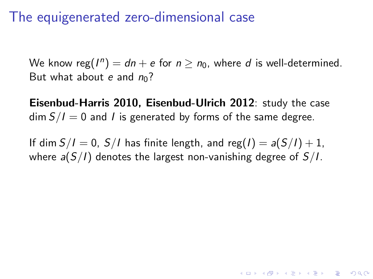We know reg $(I^n)=dn+e$  for  $n\ge n_0$ , where  $d$  is well-determined. But what about e and  $n_0$ ?

Eisenbud-Harris 2010, Eisenbud-Ulrich 2012: study the case  $\dim S/I = 0$  and I is generated by forms of the same degree.

If dim  $S/I = 0$ ,  $S/I$  has finite length, and reg( $I$ ) =  $a(S/I) + 1$ , where  $a(S/I)$  denotes the largest non-vanishing degree of  $S/I$ .

**KORKAR KERKER EL VOLO**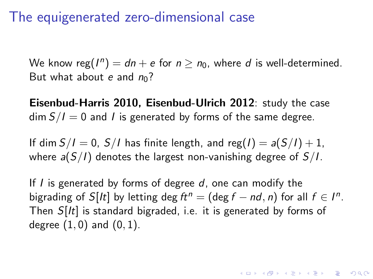We know reg $(I^n)=dn+e$  for  $n\ge n_0$ , where  $d$  is well-determined. But what about e and  $n_0$ ?

Eisenbud-Harris 2010, Eisenbud-Ulrich 2012: study the case  $\dim S/I = 0$  and *I* is generated by forms of the same degree.

If dim  $S/I = 0$ ,  $S/I$  has finite length, and reg(I) =  $a(S/I) + 1$ , where  $a(S/I)$  denotes the largest non-vanishing degree of  $S/I$ .

If  $I$  is generated by forms of degree  $d$ , one can modify the bigrading of  $S[lt]$  by letting deg  $ft^n = (\text{deg } f - nd, n)$  for all  $f \in I^n$ . Then  $S[It]$  is standard bigraded, i.e. it is generated by forms of degree  $(1, 0)$  and  $(0, 1)$ .

KID KA KERKER E VOOR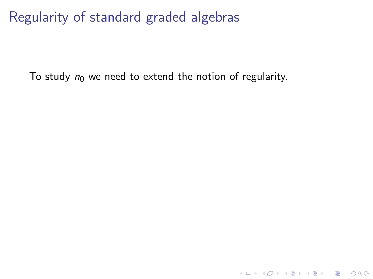Regularity of standard graded algebras

To study  $n_0$  we need to extend the notion of regularity.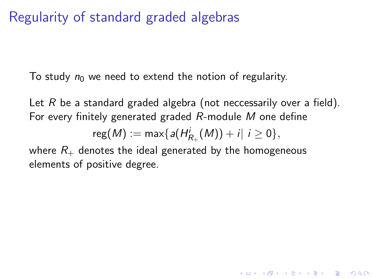# Regularity of standard graded algebras

To study  $n_0$  we need to extend the notion of regularity.

Let R be a standard graded algebra (not neccessarily over a field). For every finitely generated graded R-module M one define

$$
reg(M) := max\{a(H^{i}_{R_{+}}(M)) + i | i \geq 0\},
$$

4 D > 4 P + 4 B + 4 B + B + 9 Q O

where  $R_{+}$  denotes the ideal generated by the homogeneous elements of positive degree.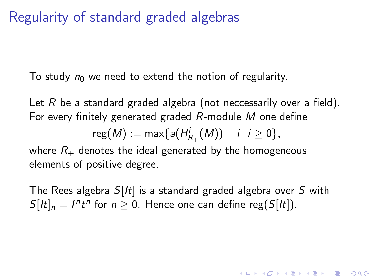# Regularity of standard graded algebras

To study  $n_0$  we need to extend the notion of regularity.

Let R be a standard graded algebra (not neccessarily over a field). For every finitely generated graded R-module M one define

 ${\sf reg}(M):={\sf max}\{ \textit{a}(H_{R_+}^i(M))+\textit{i} |\,\, i\geq 0\},$ 

where  $R_{+}$  denotes the ideal generated by the homogeneous elements of positive degree.

The Rees algebra  $S[It]$  is a standard graded algebra over S with  $S[It]_n = I^n t^n$  for  $n \ge 0$ . Hence one can define reg( $S[It]$ ).

**AD A 4 4 4 5 A 5 A 5 A 4 D A 4 D A 4 P A 4 5 A 4 5 A 5 A 4 A 4 A 4 A**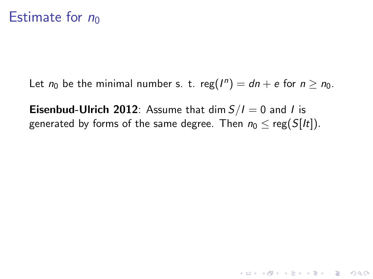### Estimate for  $n_0$

Let  $n_0$  be the minimal number s. t. reg $(I^n) = dn + e$  for  $n \ge n_0$ .

**Eisenbud-Ulrich 2012**: Assume that dim  $S/I = 0$  and I is generated by forms of the same degree. Then  $n_0 \leq \text{reg}(S[It])$ .

**K ロ ▶ K @ ▶ K 할 X X 할 X → 할 X → 9 Q Q ^**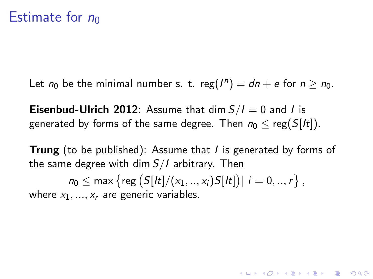Let  $n_0$  be the minimal number s. t. reg $(I^n) = dn + e$  for  $n \ge n_0$ .

**Eisenbud-Ulrich 2012**: Assume that dim  $S/I = 0$  and I is generated by forms of the same degree. Then  $n_0 < \text{reg}(S[It])$ .

**Trung** (to be published): Assume that I is generated by forms of the same degree with dim  $S/I$  arbitrary. Then

**AD A 4 4 4 5 A 5 A 5 A 4 D A 4 D A 4 P A 4 5 A 4 5 A 5 A 4 A 4 A 4 A** 

 $n_0\leq \mathsf{max}\left\{\mathsf{reg}\left(S[lt]/(x_1,..,x_i)S[lt]\right)|\ i=0,..,r\right\},$ where  $x_1, ..., x_r$  are generic variables.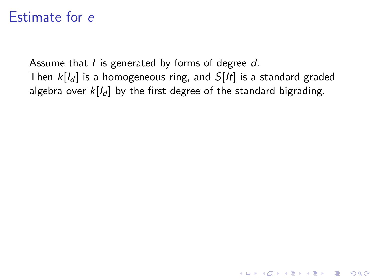Assume that  $I$  is generated by forms of degree  $d$ . Then  $k[I_d]$  is a homogeneous ring, and  $S[It]$  is a standard graded algebra over  $k\llbracket l_d \rrbracket$  by the first degree of the standard bigrading.

**K ロ ▶ K @ ▶ K 할 X X 할 X → 할 X → 9 Q Q ^**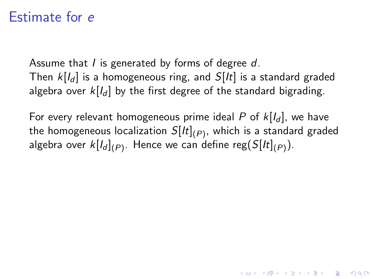Assume that *I* is generated by forms of degree d. Then  $k[J_d]$  is a homogeneous ring, and  $S[It]$  is a standard graded algebra over  $k[J_d]$  by the first degree of the standard bigrading.

For every relevant homogeneous prime ideal P of  $k[I_d]$ , we have the homogeneous localization  $S[lt]_{(P)}$ , which is a standard graded algebra over  $k[ l_d ]_{(P)}.$  Hence we can define reg $(S[lt]_{(P)}).$ 

4 D > 4 P + 4 B + 4 B + B + 9 Q O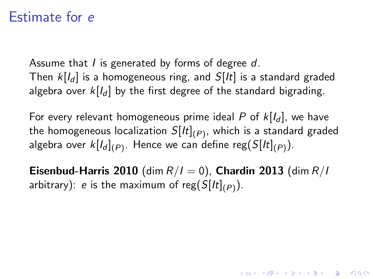Assume that *I* is generated by forms of degree d. Then  $k[J_d]$  is a homogeneous ring, and  $S[It]$  is a standard graded algebra over  $k[I_d]$  by the first degree of the standard bigrading.

For every relevant homogeneous prime ideal P of  $k[I_d]$ , we have the homogeneous localization  $S[lt]_{(P)}$ , which is a standard graded algebra over  $k[ l_d ]_{(P)}.$  Hence we can define reg $(S[lt]_{(P)}).$ 

Eisenbud-Harris 2010 (dim  $R/I = 0$ ), Chardin 2013 (dim  $R/I$ arbitrary):  $e$  is the maximum of reg $(S[lt]_{(P)}).$ 

**KORKAR KERKER EL VOLO**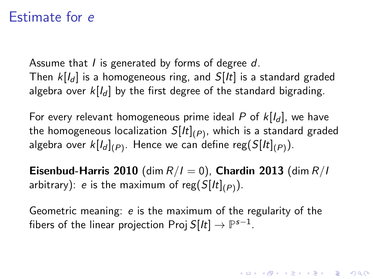Assume that *I* is generated by forms of degree d. Then  $k[I_d]$  is a homogeneous ring, and  $S[It]$  is a standard graded algebra over  $k[I_d]$  by the first degree of the standard bigrading.

For every relevant homogeneous prime ideal P of  $k[I_d]$ , we have the homogeneous localization  $S[lt]_{(P)}$ , which is a standard graded algebra over  $k[ l_d ]_{(P)}.$  Hence we can define reg $(S[lt]_{(P)}).$ 

Eisenbud-Harris 2010 (dim  $R/I = 0$ ), Chardin 2013 (dim  $R/I$ arbitrary):  $e$  is the maximum of reg $(S[lt]_{(P)}).$ 

Geometric meaning: e is the maximum of the regularity of the fibers of the linear projection Proj S[ $lt$ ]  $\rightarrow$   $\mathbb{P}^{s-1}.$ 

KID KA KERKER E VOOR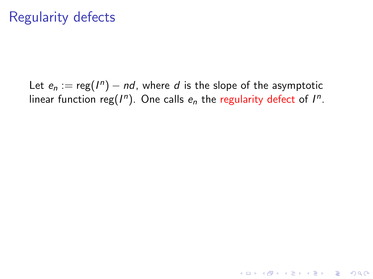Let  $e_n := \text{reg}(I^n) - nd$ , where  $d$  is the slope of the asymptotic linear function reg $(I^n)$ . One calls  $e_n$  the regularity defect of  $I^n$ .

K ロ ▶ K @ ▶ K 할 > K 할 > 1 할 > 1 이익어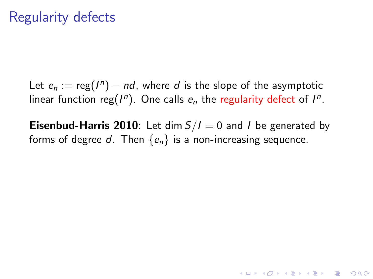Let  $e_n := \text{reg}(I^n) - nd$ , where  $d$  is the slope of the asymptotic linear function reg $(I^n)$ . One calls  $e_n$  the regularity defect of  $I^n$ .

**Eisenbud-Harris 2010**: Let dim  $S/I = 0$  and *I* be generated by forms of degree d. Then  ${e_n}$  is a non-increasing sequence.

**KORKAR KERKER EL VOLO**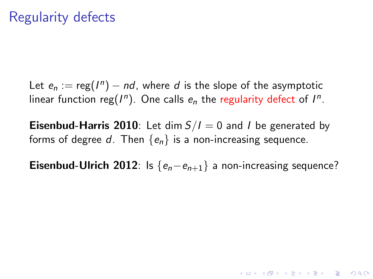Let  $e_n := \text{reg}(I^n) - nd$ , where  $d$  is the slope of the asymptotic linear function reg $(I^n)$ . One calls  $e_n$  the regularity defect of  $I^n$ .

**Eisenbud-Harris 2010**: Let dim  $S/I = 0$  and *I* be generated by forms of degree d. Then  ${e_n}$  is a non-increasing sequence.

**Eisenbud-Ulrich 2012**: Is  $\{e_n-e_{n+1}\}\$ a non-increasing sequence?

**AD A 4 4 4 5 A 5 A 5 A 4 D A 4 D A 4 P A 4 5 A 4 5 A 5 A 4 A 4 A 4 A**